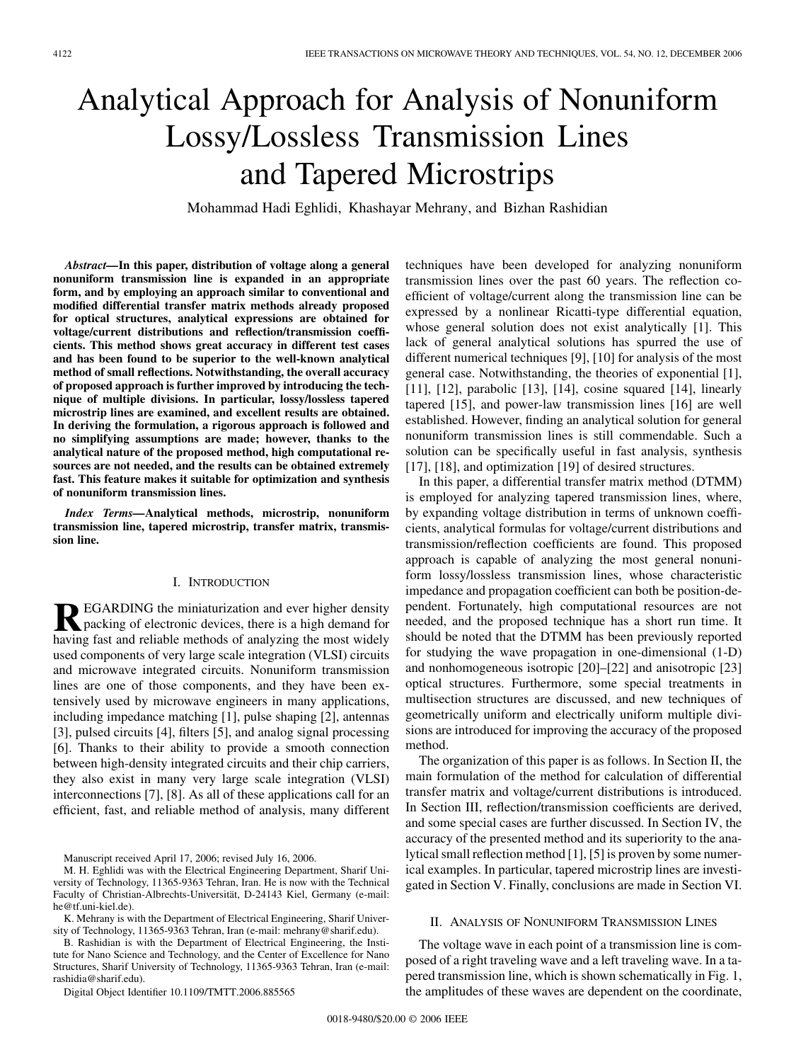# Analytical Approach for Analysis of Nonuniform Lossy/Lossless Transmission Lines and Tapered Microstrips

Mohammad Hadi Eghlidi, Khashayar Mehrany, and Bizhan Rashidian

*Abstract—***In this paper, distribution of voltage along a general nonuniform transmission line is expanded in an appropriate form, and by employing an approach similar to conventional and modified differential transfer matrix methods already proposed for optical structures, analytical expressions are obtained for voltage/current distributions and reflection/transmission coefficients. This method shows great accuracy in different test cases and has been found to be superior to the well-known analytical method of small reflections. Notwithstanding, the overall accuracy of proposed approach is further improved by introducing the technique of multiple divisions. In particular, lossy/lossless tapered microstrip lines are examined, and excellent results are obtained. In deriving the formulation, a rigorous approach is followed and no simplifying assumptions are made; however, thanks to the analytical nature of the proposed method, high computational resources are not needed, and the results can be obtained extremely fast. This feature makes it suitable for optimization and synthesis of nonuniform transmission lines.**

*Index Terms—***Analytical methods, microstrip, nonuniform transmission line, tapered microstrip, transfer matrix, transmission line.**

## I. INTRODUCTION

**REGARDING** the miniaturization and ever higher density<br>packing of electronic devices, there is a high demand for<br>having fest and reliable methods of analyzing the most widely having fast and reliable methods of analyzing the most widely used components of very large scale integration (VLSI) circuits and microwave integrated circuits. Nonuniform transmission lines are one of those components, and they have been extensively used by microwave engineers in many applications, including impedance matching [1], pulse shaping [2], antennas [3], pulsed circuits [4], filters [5], and analog signal processing [6]. Thanks to their ability to provide a smooth connection between high-density integrated circuits and their chip carriers, they also exist in many very large scale integration (VLSI) interconnections [7], [8]. As all of these applications call for an efficient, fast, and reliable method of analysis, many different

Manuscript received April 17, 2006; revised July 16, 2006.

Digital Object Identifier 10.1109/TMTT.2006.885565

techniques have been developed for analyzing nonuniform transmission lines over the past 60 years. The reflection coefficient of voltage/current along the transmission line can be expressed by a nonlinear Ricatti-type differential equation, whose general solution does not exist analytically [1]. This lack of general analytical solutions has spurred the use of different numerical techniques [9], [10] for analysis of the most general case. Notwithstanding, the theories of exponential [1], [11], [12], parabolic [13], [14], cosine squared [14], linearly tapered [15], and power-law transmission lines [16] are well established. However, finding an analytical solution for general nonuniform transmission lines is still commendable. Such a solution can be specifically useful in fast analysis, synthesis [17], [18], and optimization [19] of desired structures.

In this paper, a differential transfer matrix method (DTMM) is employed for analyzing tapered transmission lines, where, by expanding voltage distribution in terms of unknown coefficients, analytical formulas for voltage/current distributions and transmission/reflection coefficients are found. This proposed approach is capable of analyzing the most general nonuniform lossy/lossless transmission lines, whose characteristic impedance and propagation coefficient can both be position-dependent. Fortunately, high computational resources are not needed, and the proposed technique has a short run time. It should be noted that the DTMM has been previously reported for studying the wave propagation in one-dimensional (1-D) and nonhomogeneous isotropic [20]–[22] and anisotropic [23] optical structures. Furthermore, some special treatments in multisection structures are discussed, and new techniques of geometrically uniform and electrically uniform multiple divisions are introduced for improving the accuracy of the proposed method.

The organization of this paper is as follows. In Section II, the main formulation of the method for calculation of differential transfer matrix and voltage/current distributions is introduced. In Section III, reflection/transmission coefficients are derived, and some special cases are further discussed. In Section IV, the accuracy of the presented method and its superiority to the analytical small reflection method [1], [5] is proven by some numerical examples. In particular, tapered microstrip lines are investigated in Section V. Finally, conclusions are made in Section VI.

#### II. ANALYSIS OF NONUNIFORM TRANSMISSION LINES

The voltage wave in each point of a transmission line is composed of a right traveling wave and a left traveling wave. In a tapered transmission line, which is shown schematically in Fig. 1, the amplitudes of these waves are dependent on the coordinate,

M. H. Eghlidi was with the Electrical Engineering Department, Sharif University of Technology, 11365-9363 Tehran, Iran. He is now with the Technical Faculty of Christian-Albrechts-Universität, D-24143 Kiel, Germany (e-mail: he@tf.uni-kiel.de).

K. Mehrany is with the Department of Electrical Engineering, Sharif University of Technology, 11365-9363 Tehran, Iran (e-mail: mehrany@sharif.edu).

B. Rashidian is with the Department of Electrical Engineering, the Institute for Nano Science and Technology, and the Center of Excellence for Nano Structures, Sharif University of Technology, 11365-9363 Tehran, Iran (e-mail: rashidia@sharif.edu).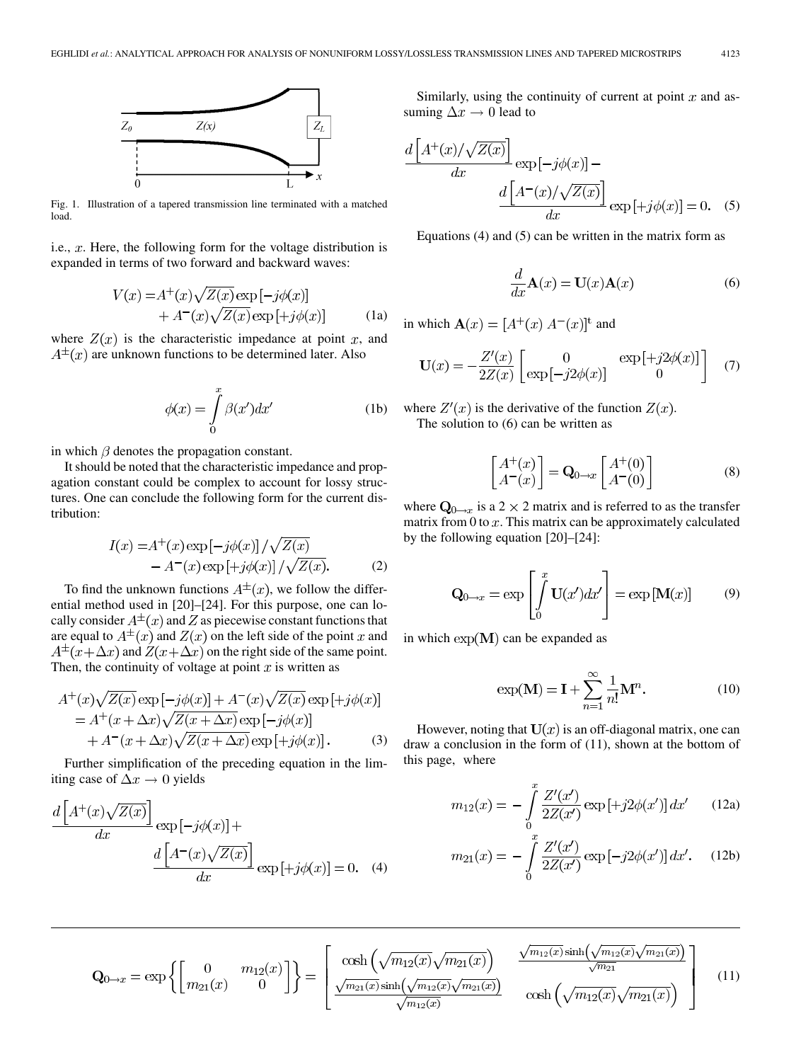

Fig. 1. Illustration of a tapered transmission line terminated with a matched load.

i.e.,  $x$ . Here, the following form for the voltage distribution is expanded in terms of two forward and backward waves:

$$
V(x) = A^{+}(x)\sqrt{Z(x)} \exp[-j\phi(x)]
$$
  
+  $A^{-}(x)\sqrt{Z(x)} \exp[+j\phi(x)]$  (1a)

where  $Z(x)$  is the characteristic impedance at point x, and  $A^{\pm}(x)$  are unknown functions to be determined later. Also

$$
\phi(x) = \int_{0}^{x} \beta(x')dx'
$$
 (1b)

in which  $\beta$  denotes the propagation constant.

It should be noted that the characteristic impedance and propagation constant could be complex to account for lossy structures. One can conclude the following form for the current distribution:

$$
I(x) = A^{+}(x) \exp\left[-j\phi(x)\right] / \sqrt{Z(x)}
$$
  
- A^{-}(x) \exp\left[+j\phi(x)\right] / \sqrt{Z(x)}. (2)

To find the unknown functions  $A^{\pm}(x)$ , we follow the differential method used in [20]–[24]. For this purpose, one can locally consider  $A^{\pm}(x)$  and Z as piecewise constant functions that are equal to  $A^{\pm}(x)$  and  $Z(x)$  on the left side of the point x and  $A^{\pm}(x+\Delta x)$  and  $Z(x+\Delta x)$  on the right side of the same point. Then, the continuity of voltage at point  $x$  is written as

$$
A^+(x)\sqrt{Z(x)}\exp\left[-j\phi(x)\right] + A^-(x)\sqrt{Z(x)}\exp\left[+j\phi(x)\right]
$$
  
=  $A^+(x+\Delta x)\sqrt{Z(x+\Delta x)}\exp\left[-j\phi(x)\right]$   
+  $A^-(x+\Delta x)\sqrt{Z(x+\Delta x)}\exp\left[+j\phi(x)\right].$  (3)

Further simplification of the preceding equation in the limiting case of  $\Delta x \rightarrow 0$  yields

$$
\frac{d\left[A^+(x)\sqrt{Z(x)}\right]}{dx} \exp\left[-j\phi(x)\right] +
$$

$$
\frac{d\left[A^-(x)\sqrt{Z(x)}\right]}{dx} \exp\left[+j\phi(x)\right] = 0. \quad (4)
$$

Similarly, using the continuity of current at point  $x$  and assuming  $\Delta x \rightarrow 0$  lead to

$$
\frac{d\left[A^+(x)/\sqrt{Z(x)}\right]}{dx} \exp\left[-j\phi(x)\right] - \frac{d\left[A^-(x)/\sqrt{Z(x)}\right]}{dx} \exp\left[+j\phi(x)\right] = 0. \quad (5)
$$

Equations (4) and (5) can be written in the matrix form as

$$
\frac{d}{dx}\mathbf{A}(x) = \mathbf{U}(x)\mathbf{A}(x) \tag{6}
$$

in which  $\mathbf{A}(x) = [A^+(x) A^-(x)]^t$  and

$$
\mathbf{U}(x) = -\frac{Z'(x)}{2Z(x)} \begin{bmatrix} 0 & \exp\left[ +j2\phi(x) \right] \\ \exp\left[ -j2\phi(x) \right] & 0 \end{bmatrix} \tag{7}
$$

where  $Z'(x)$  is the derivative of the function  $Z(x)$ . The solution to (6) can be written as

$$
\begin{bmatrix} A^+(x) \\ A^-(x) \end{bmatrix} = \mathbf{Q}_{0 \to x} \begin{bmatrix} A^+(0) \\ A^-(0) \end{bmatrix}
$$
 (8)

where  $Q_{0\to x}$  is a 2  $\times$  2 matrix and is referred to as the transfer matrix from  $0$  to  $x$ . This matrix can be approximately calculated by the following equation [20]–[24]:

$$
\mathbf{Q}_{0 \to x} = \exp \left[ \int_{0}^{x} \mathbf{U}(x') dx' \right] = \exp \left[ \mathbf{M}(x) \right] \tag{9}
$$

in which  $\exp(M)$  can be expanded as

$$
\exp(\mathbf{M}) = \mathbf{I} + \sum_{n=1}^{\infty} \frac{1}{n!} \mathbf{M}^n.
$$
 (10)

However, noting that  $U(x)$  is an off-diagonal matrix, one can draw a conclusion in the form of (11), shown at the bottom of this page, where

$$
m_{12}(x) = -\int_{0}^{x} \frac{Z'(x')}{2Z(x')} \exp\left[+j2\phi(x')\right] dx' \qquad (12a)
$$

$$
m_{21}(x) = -\int_{0}^{x} \frac{Z'(x')}{2Z(x')} \exp\left[-j2\phi(x')\right] dx'. \quad (12b)
$$

$$
\mathbf{Q}_{0\to x} = \exp\left\{ \begin{bmatrix} 0 & m_{12}(x) \\ m_{21}(x) & 0 \end{bmatrix} \right\} = \begin{bmatrix} \cosh\left(\sqrt{m_{12}(x)}\sqrt{m_{21}(x)}\right) & \frac{\sqrt{m_{12}(x)}\sinh\left(\sqrt{m_{12}(x)}\sqrt{m_{21}(x)}\right) \\ \frac{\sqrt{m_{21}(x)}\sinh\left(\sqrt{m_{12}(x)}\sqrt{m_{21}(x)}\right)}{\sqrt{m_{12}(x)}} & \cosh\left(\sqrt{m_{12}(x)}\sqrt{m_{21}(x)}\right) \end{bmatrix} \tag{11}
$$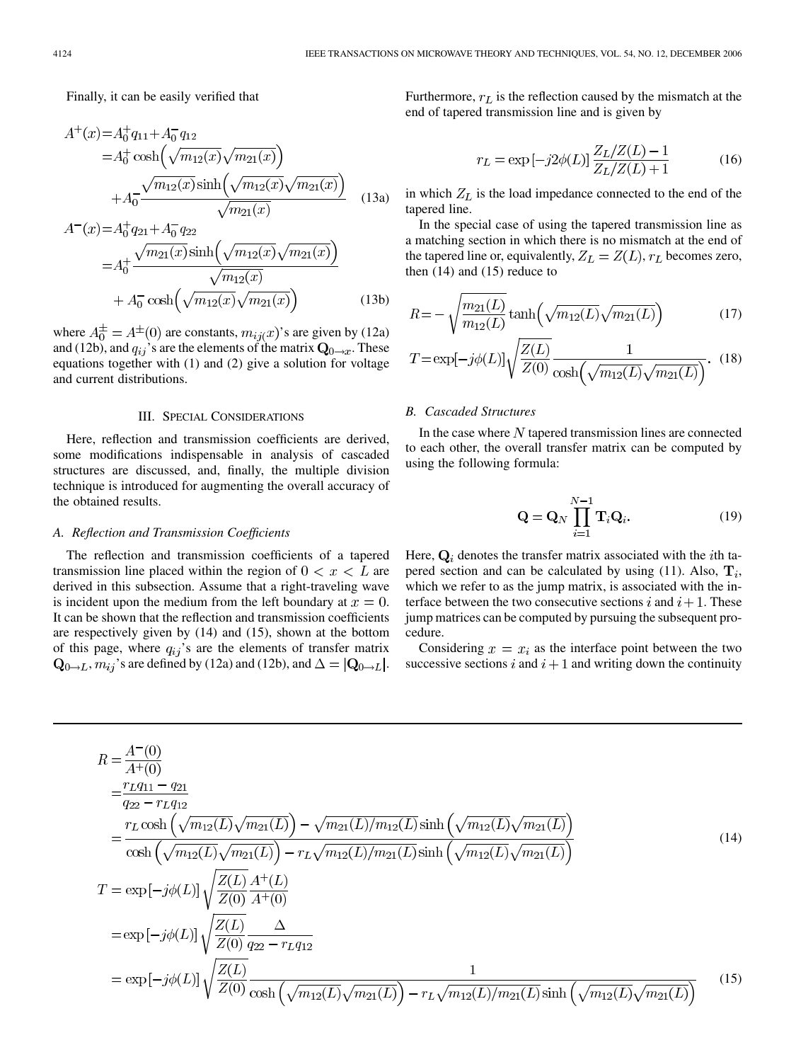Finally, it can be easily verified that

$$
A^{+}(x) = A_{0}^{+} q_{11} + A_{0}^{-} q_{12}
$$
  
=  $A_{0}^{+} \cosh\left(\sqrt{m_{12}(x)}\sqrt{m_{21}(x)}\right)$   
+  $A_{0}^{-} \frac{\sqrt{m_{12}(x)} \sinh\left(\sqrt{m_{12}(x)}\sqrt{m_{21}(x)}\right)}{\sqrt{m_{21}(x)}}$  (13a)

$$
A^{-}(x) = A_0^{+} q_{21} + A_0^{-} q_{22}
$$
  
=  $A_0^{+} \frac{\sqrt{m_{21}(x)} \sinh(\sqrt{m_{12}(x)} \sqrt{m_{21}(x)})}{\sqrt{m_{12}(x)}} + A_0^{-} \cosh(\sqrt{m_{12}(x)} \sqrt{m_{21}(x)})$  (13b)

where  $A_0^{\pm} = A^{\pm}(0)$  are constants,  $m_{ij}(x)$ 's are given by (12a) and (12b), and  $q_{ij}$ 's are the elements of the matrix  $\mathbf{Q}_{0\rightarrow x}$ . These equations together with (1) and (2) give a solution for voltage and current distributions.

#### III. SPECIAL CONSIDERATIONS

Here, reflection and transmission coefficients are derived, some modifications indispensable in analysis of cascaded structures are discussed, and, finally, the multiple division technique is introduced for augmenting the overall accuracy of the obtained results.

### *A. Reflection and Transmission Coefficients*

The reflection and transmission coefficients of a tapered transmission line placed within the region of  $0 < x < L$  are derived in this subsection. Assume that a right-traveling wave is incident upon the medium from the left boundary at  $x = 0$ . It can be shown that the reflection and transmission coefficients are respectively given by (14) and (15), shown at the bottom of this page, where  $q_{ij}$ 's are the elements of transfer matrix  $\mathbf{Q}_{0\rightarrow L}$ ,  $m_{ij}$ 's are defined by (12a) and (12b), and  $\Delta = |\mathbf{Q}_{0\rightarrow L}|$ .

Furthermore,  $r_L$  is the reflection caused by the mismatch at the end of tapered transmission line and is given by

$$
r_L = \exp[-j2\phi(L)] \frac{Z_L/Z(L) - 1}{Z_L/Z(L) + 1}
$$
 (16)

in which  $Z_L$  is the load impedance connected to the end of the tapered line.

In the special case of using the tapered transmission line as a matching section in which there is no mismatch at the end of the tapered line or, equivalently,  $Z_L = Z(L)$ ,  $r_L$  becomes zero, then  $(14)$  and  $(15)$  reduce to

$$
R = -\sqrt{\frac{m_{21}(L)}{m_{12}(L)}} \tanh\left(\sqrt{m_{12}(L)}\sqrt{m_{21}(L)}\right) \tag{17}
$$

$$
T = \exp[-j\phi(L)]\sqrt{\frac{Z(L)}{Z(0)}\frac{1}{\cosh(\sqrt{m_{12}(L)}\sqrt{m_{21}(L)})}}. (18)
$$

#### *B. Cascaded Structures*

In the case where  $N$  tapered transmission lines are connected to each other, the overall transfer matrix can be computed by using the following formula:

$$
\mathbf{Q} = \mathbf{Q}_N \prod_{i=1}^{N-1} \mathbf{T}_i \mathbf{Q}_i.
$$
 (19)

Here,  $Q_i$  denotes the transfer matrix associated with the *i*th tapered section and can be calculated by using (11). Also,  $\mathbf{T}_i$ , which we refer to as the jump matrix, is associated with the interface between the two consecutive sections i and  $i+1$ . These jump matrices can be computed by pursuing the subsequent procedure.

Considering  $x = x_i$  as the interface point between the two successive sections  $i$  and  $i + 1$  and writing down the continuity

$$
R = \frac{A^{-}(0)}{A^{+}(0)}
$$
  
\n
$$
= \frac{r_{L}q_{11} - q_{21}}{q_{22} - r_{L}q_{12}}
$$
  
\n
$$
= \frac{r_{L}\cosh\left(\sqrt{m_{12}(L)}\sqrt{m_{21}(L)}\right) - \sqrt{m_{21}(L)/m_{12}(L)}\sinh\left(\sqrt{m_{12}(L)}\sqrt{m_{21}(L)}\right)}{\cosh\left(\sqrt{m_{12}(L)}\sqrt{m_{21}(L)}\right) - r_{L}\sqrt{m_{12}(L)/m_{21}(L)}\sinh\left(\sqrt{m_{12}(L)}\sqrt{m_{21}(L)}\right)}
$$
(14)  
\n
$$
T = \exp\left[-j\phi(L)\right] \sqrt{\frac{Z(L)}{Z(0)}} \frac{A^{+}(L)}{A^{+}(0)}
$$
  
\n
$$
= \exp\left[-j\phi(L)\right] \sqrt{\frac{Z(L)}{Z(0)}} \frac{\Delta}{q_{22} - r_{L}q_{12}}
$$
  
\n
$$
= \exp\left[-j\phi(L)\right] \sqrt{\frac{Z(L)}{Z(0)}} \frac{\Delta}{\cosh\left(\sqrt{m_{12}(L)}\sqrt{m_{21}(L)}\right) - r_{L}\sqrt{m_{12}(L)/m_{21}(L)}\sinh\left(\sqrt{m_{12}(L)}\sqrt{m_{21}(L)}\right)}
$$
(15)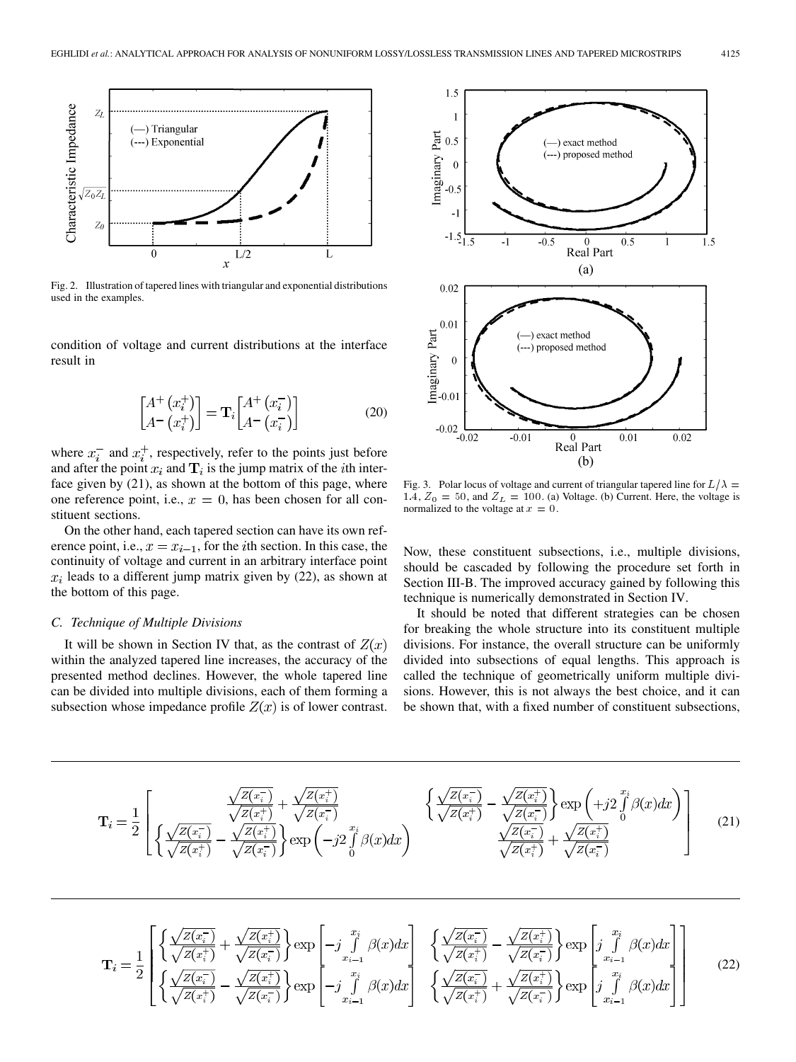



Fig. 2. Illustration of tapered lines with triangular and exponential distributions used in the examples.

condition of voltage and current distributions at the interface result in

$$
\begin{bmatrix} A^+ \left( x_i^+ \right) \\ A^- \left( x_i^+ \right) \end{bmatrix} = \mathbf{T}_i \begin{bmatrix} A^+ \left( x_i^- \right) \\ A^- \left( x_i^- \right) \end{bmatrix} \tag{20}
$$

where  $x_i^-$  and  $x_i^+$ , respectively, refer to the points just before and after the point  $x_i$  and  $\mathbf{T}_i$  is the jump matrix of the *i*th interface given by (21), as shown at the bottom of this page, where one reference point, i.e.,  $x = 0$ , has been chosen for all constituent sections.

On the other hand, each tapered section can have its own reference point, i.e.,  $x = x_{i-1}$ , for the *i*th section. In this case, the continuity of voltage and current in an arbitrary interface point  $x_i$  leads to a different jump matrix given by (22), as shown at the bottom of this page.

#### *C. Technique of Multiple Divisions*

It will be shown in Section IV that, as the contrast of  $Z(x)$ within the analyzed tapered line increases, the accuracy of the presented method declines. However, the whole tapered line can be divided into multiple divisions, each of them forming a subsection whose impedance profile  $Z(x)$  is of lower contrast.



Fig. 3. Polar locus of voltage and current of triangular tapered line for  $L/\lambda$  = 1.4,  $Z_0 = 50$ , and  $Z_L = 100$ . (a) Voltage. (b) Current. Here, the voltage is normalized to the voltage at  $x = 0$ .

Now, these constituent subsections, i.e., multiple divisions, should be cascaded by following the procedure set forth in Section III-B. The improved accuracy gained by following this technique is numerically demonstrated in Section IV.

It should be noted that different strategies can be chosen for breaking the whole structure into its constituent multiple divisions. For instance, the overall structure can be uniformly divided into subsections of equal lengths. This approach is called the technique of geometrically uniform multiple divisions. However, this is not always the best choice, and it can be shown that, with a fixed number of constituent subsections,

$$
\mathbf{T}_{i} = \frac{1}{2} \left[ \left\{ \frac{\sqrt{Z(x_{i}^{-}})}{\sqrt{Z(x_{i}^{+}})} - \frac{\sqrt{Z(x_{i}^{+}})}{\sqrt{Z(x_{i}^{+}})} \right\} \exp\left(-j2 \int_{0}^{x_{i}} \beta(x) dx\right) \right. \left. \left\{ \frac{\sqrt{Z(x_{i}^{-}})}{\sqrt{Z(x_{i}^{+}})} - \frac{\sqrt{Z(x_{i}^{+}})}{\sqrt{Z(x_{i}^{-}})} \right\} \exp\left(+j2 \int_{0}^{x_{i}} \beta(x) dx\right) \right] \tag{21}
$$

$$
\mathbf{T}_{i} = \frac{1}{2} \begin{bmatrix} \left\{ \frac{\sqrt{Z(x_{i}^{-}})}{\sqrt{Z(x_{i}^{+}})} + \frac{\sqrt{Z(x_{i}^{+}})}{\sqrt{Z(x_{i}^{-}})} \right\} \exp\left[-j \int_{x_{i-1}}^{x_{i}} \beta(x) dx\right] & \left\{ \frac{\sqrt{Z(x_{i}^{-}})}{\sqrt{Z(x_{i}^{+}})} - \frac{\sqrt{Z(x_{i}^{+}})}{\sqrt{Z(x_{i}^{-}})} \right\} \exp\left[j \int_{x_{i-1}}^{x_{i}} \beta(x) dx\right] \\ \left\{ \frac{\sqrt{Z(x_{i}^{-}})}{\sqrt{Z(x_{i}^{+}})} - \frac{\sqrt{Z(x_{i}^{+}})}{\sqrt{Z(x_{i}^{-}})} \right\} \exp\left[-j \int_{x_{i-1}}^{x_{i}} \beta(x) dx\right] & \left\{ \frac{\sqrt{Z(x_{i}^{-}})}{\sqrt{Z(x_{i}^{+}})} + \frac{\sqrt{Z(x_{i}^{+}})}{\sqrt{Z(x_{i}^{-}})} \right\} \exp\left[j \int_{x_{i-1}}^{x_{i}} \beta(x) dx\right] \end{bmatrix}
$$
(22)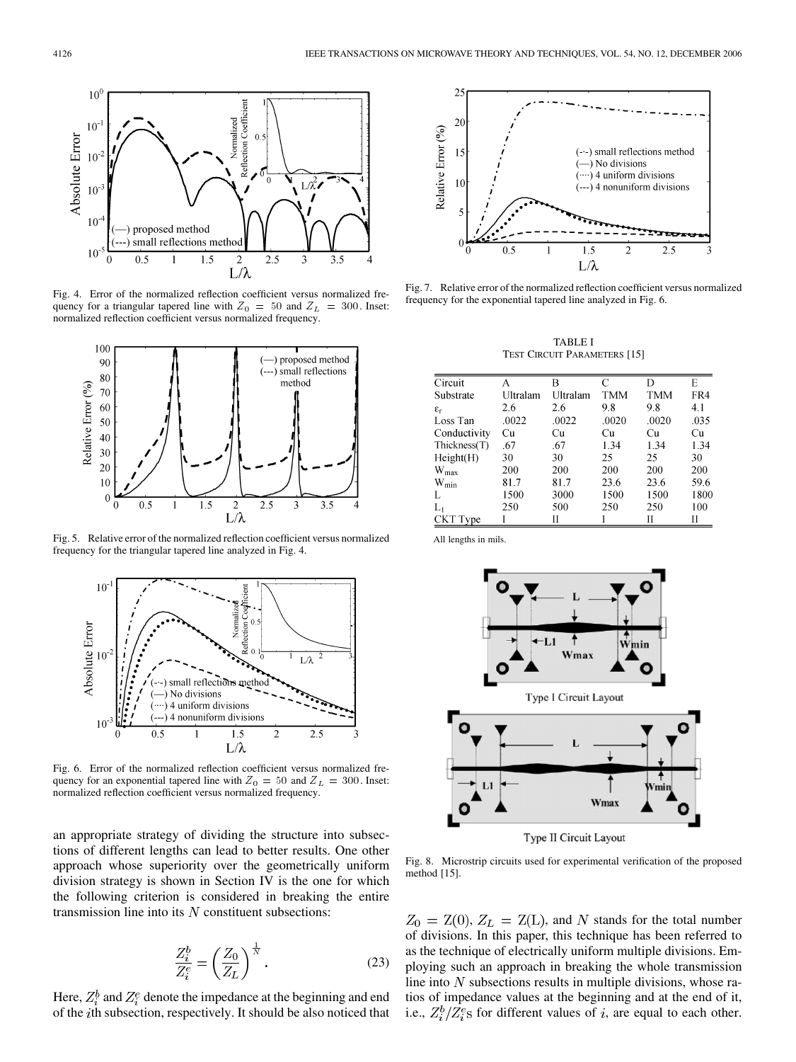

Fig. 4. Error of the normalized reflection coefficient versus normalized frequency for a triangular tapered line with  $Z_0 = 50$  and  $Z_L = 300$ . Inset: normalized reflection coefficient versus normalized frequency.



Fig. 5. Relative error of the normalized reflection coefficient versus normalized frequency for the triangular tapered line analyzed in Fig. 4.



Fig. 6. Error of the normalized reflection coefficient versus normalized frequency for an exponential tapered line with  $Z_0 = 50$  and  $Z_L = 300$ . Inset: normalized reflection coefficient versus normalized frequency.

an appropriate strategy of dividing the structure into subsections of different lengths can lead to better results. One other approach whose superiority over the geometrically uniform division strategy is shown in Section IV is the one for which the following criterion is considered in breaking the entire transmission line into its  $N$  constituent subsections:

$$
\frac{Z_i^b}{Z_i^e} = \left(\frac{Z_0}{Z_L}\right)^{\frac{1}{N}}.\tag{23}
$$

Here,  $Z_i^b$  and  $Z_i^e$  denote the impedance at the beginning and end of the *i*th subsection, respectively. It should be also noticed that



Fig. 7. Relative error of the normalized reflection coefficient versus normalized frequency for the exponential tapered line analyzed in Fig. 6.

TABLE I TEST CIRCUIT PARAMETERS [15]

| Circuit               | А        | в        | C     |            | Е    |
|-----------------------|----------|----------|-------|------------|------|
| Substrate             | Ultralam | Ultralam | TMM   | <b>TMM</b> | FR4  |
| $\varepsilon_{\rm r}$ | 2.6      | 2.6      | 9.8   | 9.8        | 4.1  |
| Loss Tan              | .0022    | .0022    | .0020 | .0020      | .035 |
| Conductivity          | Cu       | Cu       | Сu    | Cu         | Cu   |
| Thickness(T)          | .67      | .67      | 1.34  | 1.34       | 1.34 |
| Height(H)             | 30       | 30       | 25    | 25         | 30   |
| $W_{\text{max}}$      | 200      | 200      | 200   | 200        | 200  |
| $\rm{W}_{\rm{min}}$   | 81.7     | 81.7     | 23.6  | 23.6       | 59.6 |
|                       | 1500     | 3000     | 1500  | 1500       | 1800 |
| Lı                    | 250      | 500      | 250   | 250        | 100  |
| <b>CKT</b> Type       |          | Н        |       | Н          | П    |

All lengths in mils.



Fig. 8. Microstrip circuits used for experimental verification of the proposed method [15].

 $Z_0 = Z(0), Z_L = Z(L)$ , and N stands for the total number of divisions. In this paper, this technique has been referred to as the technique of electrically uniform multiple divisions. Employing such an approach in breaking the whole transmission line into  $N$  subsections results in multiple divisions, whose ratios of impedance values at the beginning and at the end of it, i.e.,  $Z_i^b/Z_i^e$ s for different values of i, are equal to each other.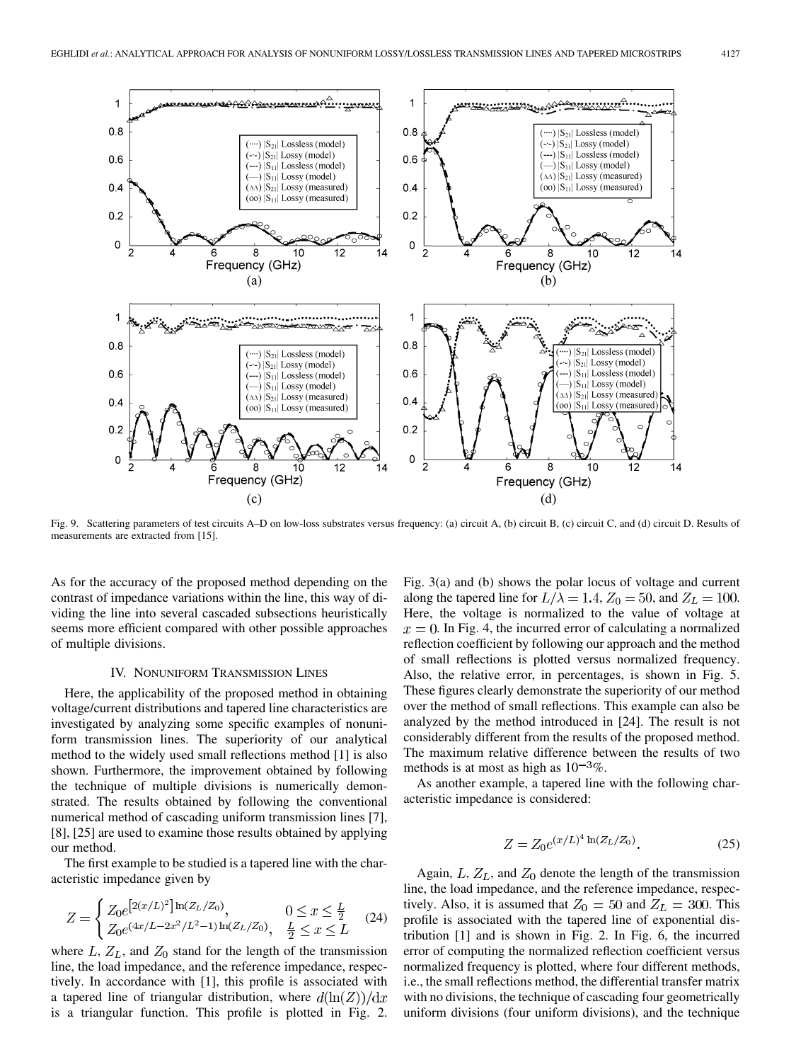

Fig. 9. Scattering parameters of test circuits A–D on low-loss substrates versus frequency: (a) circuit A, (b) circuit B, (c) circuit C, and (d) circuit D. Results of measurements are extracted from [15].

As for the accuracy of the proposed method depending on the contrast of impedance variations within the line, this way of dividing the line into several cascaded subsections heuristically seems more efficient compared with other possible approaches of multiple divisions.

#### IV. NONUNIFORM TRANSMISSION LINES

Here, the applicability of the proposed method in obtaining voltage/current distributions and tapered line characteristics are investigated by analyzing some specific examples of nonuniform transmission lines. The superiority of our analytical method to the widely used small reflections method [1] is also shown. Furthermore, the improvement obtained by following the technique of multiple divisions is numerically demonstrated. The results obtained by following the conventional numerical method of cascading uniform transmission lines [7], [8], [25] are used to examine those results obtained by applying our method.

The first example to be studied is a tapered line with the characteristic impedance given by

$$
Z = \begin{cases} Z_0 e^{[2(x/L)^2] \ln(Z_L/Z_0)}, & 0 \le x \le \frac{L}{2} \\ Z_0 e^{(4x/L - 2x^2/L^2 - 1) \ln(Z_L/Z_0)}, & \frac{L}{2} \le x \le L \end{cases}
$$
(24)

where  $L, Z_L$ , and  $Z_0$  stand for the length of the transmission line, the load impedance, and the reference impedance, respectively. In accordance with [1], this profile is associated with a tapered line of triangular distribution, where  $d(\ln(Z))/dx$ is a triangular function. This profile is plotted in Fig. 2.

Fig. 3(a) and (b) shows the polar locus of voltage and current along the tapered line for  $L/\lambda = 1.4$ ,  $Z_0 = 50$ , and  $Z_L = 100$ . Here, the voltage is normalized to the value of voltage at  $x = 0$ . In Fig. 4, the incurred error of calculating a normalized reflection coefficient by following our approach and the method of small reflections is plotted versus normalized frequency. Also, the relative error, in percentages, is shown in Fig. 5. These figures clearly demonstrate the superiority of our method over the method of small reflections. This example can also be analyzed by the method introduced in [24]. The result is not considerably different from the results of the proposed method. The maximum relative difference between the results of two methods is at most as high as  $10^{-3}\%$ .

As another example, a tapered line with the following characteristic impedance is considered:

$$
Z = Z_0 e^{(x/L)^4 \ln(Z_L/Z_0)}.
$$
 (25)

Again,  $L, Z_L$ , and  $Z_0$  denote the length of the transmission line, the load impedance, and the reference impedance, respectively. Also, it is assumed that  $Z_0 = 50$  and  $Z_L = 300$ . This profile is associated with the tapered line of exponential distribution [1] and is shown in Fig. 2. In Fig. 6, the incurred error of computing the normalized reflection coefficient versus normalized frequency is plotted, where four different methods, i.e., the small reflections method, the differential transfer matrix with no divisions, the technique of cascading four geometrically uniform divisions (four uniform divisions), and the technique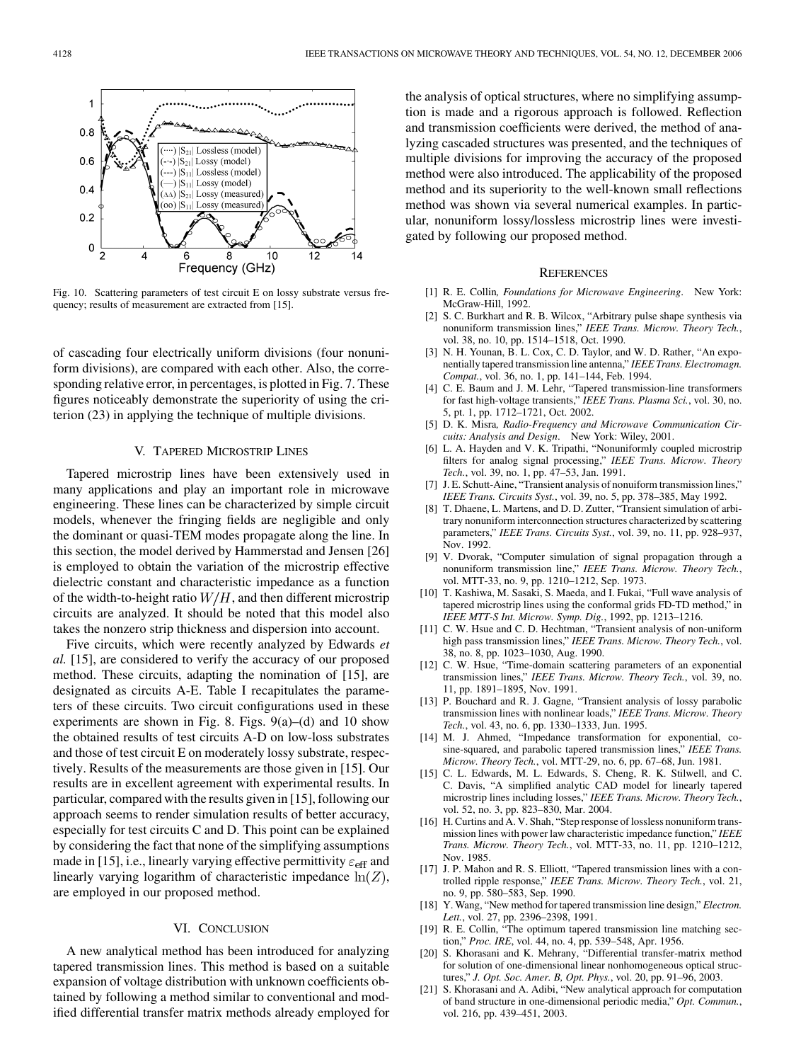

Fig. 10. Scattering parameters of test circuit E on lossy substrate versus frequency; results of measurement are extracted from [15].

of cascading four electrically uniform divisions (four nonuniform divisions), are compared with each other. Also, the corresponding relative error, in percentages, is plotted in Fig. 7. These figures noticeably demonstrate the superiority of using the criterion (23) in applying the technique of multiple divisions.

#### V. TAPERED MICROSTRIP LINES

Tapered microstrip lines have been extensively used in many applications and play an important role in microwave engineering. These lines can be characterized by simple circuit models, whenever the fringing fields are negligible and only the dominant or quasi-TEM modes propagate along the line. In this section, the model derived by Hammerstad and Jensen [26] is employed to obtain the variation of the microstrip effective dielectric constant and characteristic impedance as a function of the width-to-height ratio  $W/H$ , and then different microstrip circuits are analyzed. It should be noted that this model also takes the nonzero strip thickness and dispersion into account.

Five circuits, which were recently analyzed by Edwards *et al.* [15], are considered to verify the accuracy of our proposed method. These circuits, adapting the nomination of [15], are designated as circuits A-E. Table I recapitulates the parameters of these circuits. Two circuit configurations used in these experiments are shown in Fig. 8. Figs.  $9(a)$ –(d) and 10 show the obtained results of test circuits A-D on low-loss substrates and those of test circuit E on moderately lossy substrate, respectively. Results of the measurements are those given in [15]. Our results are in excellent agreement with experimental results. In particular, compared with the results given in [15], following our approach seems to render simulation results of better accuracy, especially for test circuits C and D. This point can be explained by considering the fact that none of the simplifying assumptions made in [15], i.e., linearly varying effective permittivity  $\varepsilon_{\text{eff}}$  and linearly varying logarithm of characteristic impedance  $\ln(Z)$ , are employed in our proposed method.

#### VI. CONCLUSION

A new analytical method has been introduced for analyzing tapered transmission lines. This method is based on a suitable expansion of voltage distribution with unknown coefficients obtained by following a method similar to conventional and modified differential transfer matrix methods already employed for the analysis of optical structures, where no simplifying assumption is made and a rigorous approach is followed. Reflection and transmission coefficients were derived, the method of analyzing cascaded structures was presented, and the techniques of multiple divisions for improving the accuracy of the proposed method were also introduced. The applicability of the proposed method and its superiority to the well-known small reflections method was shown via several numerical examples. In particular, nonuniform lossy/lossless microstrip lines were investigated by following our proposed method.

#### **REFERENCES**

- [1] R. E. Collin*, Foundations for Microwave Engineering*. New York: McGraw-Hill, 1992.
- [2] S. C. Burkhart and R. B. Wilcox, "Arbitrary pulse shape synthesis via nonuniform transmission lines," *IEEE Trans. Microw. Theory Tech.*, vol. 38, no. 10, pp. 1514–1518, Oct. 1990.
- [3] N. H. Younan, B. L. Cox, C. D. Taylor, and W. D. Rather, "An exponentially tapered transmission line antenna," *IEEE Trans. Electromagn. Compat.*, vol. 36, no. 1, pp. 141–144, Feb. 1994.
- [4] C. E. Baum and J. M. Lehr, "Tapered transmission-line transformers for fast high-voltage transients," *IEEE Trans. Plasma Sci.*, vol. 30, no. 5, pt. 1, pp. 1712–1721, Oct. 2002.
- [5] D. K. Misra*, Radio-Frequency and Microwave Communication Circuits: Analysis and Design*. New York: Wiley, 2001.
- [6] L. A. Hayden and V. K. Tripathi, "Nonuniformly coupled microstrip filters for analog signal processing," *IEEE Trans. Microw. Theory Tech.*, vol. 39, no. 1, pp. 47–53, Jan. 1991.
- [7] J. E. Schutt-Aine, "Transient analysis of nonuiform transmission lines," *IEEE Trans. Circuits Syst.*, vol. 39, no. 5, pp. 378–385, May 1992.
- [8] T. Dhaene, L. Martens, and D. D. Zutter, "Transient simulation of arbitrary nonuniform interconnection structures characterized by scattering parameters," *IEEE Trans. Circuits Syst.*, vol. 39, no. 11, pp. 928–937, Nov. 1992.
- [9] V. Dvorak, "Computer simulation of signal propagation through a nonuniform transmission line," *IEEE Trans. Microw. Theory Tech.*, vol. MTT-33, no. 9, pp. 1210–1212, Sep. 1973.
- [10] T. Kashiwa, M. Sasaki, S. Maeda, and I. Fukai, "Full wave analysis of tapered microstrip lines using the conformal grids FD-TD method," in *IEEE MTT-S Int. Microw. Symp. Dig.*, 1992, pp. 1213–1216.
- [11] C. W. Hsue and C. D. Hechtman, "Transient analysis of non-uniform high pass transmission lines," *IEEE Trans. Microw. Theory Tech.*, vol. 38, no. 8, pp. 1023–1030, Aug. 1990.
- [12] C. W. Hsue, "Time-domain scattering parameters of an exponential transmission lines," *IEEE Trans. Microw. Theory Tech.*, vol. 39, no. 11, pp. 1891–1895, Nov. 1991.
- [13] P. Bouchard and R. J. Gagne, "Transient analysis of lossy parabolic transmission lines with nonlinear loads," *IEEE Trans. Microw. Theory Tech.*, vol. 43, no. 6, pp. 1330–1333, Jun. 1995.
- [14] M. J. Ahmed, "Impedance transformation for exponential, cosine-squared, and parabolic tapered transmission lines," *IEEE Trans. Microw. Theory Tech.*, vol. MTT-29, no. 6, pp. 67–68, Jun. 1981.
- [15] C. L. Edwards, M. L. Edwards, S. Cheng, R. K. Stilwell, and C. C. Davis, "A simplified analytic CAD model for linearly tapered microstrip lines including losses," *IEEE Trans. Microw. Theory Tech.*, vol. 52, no. 3, pp. 823–830, Mar. 2004.
- [16] H. Curtins and A. V. Shah, "Step response of lossless nonuniform transmission lines with power law characteristic impedance function," *IEEE Trans. Microw. Theory Tech.*, vol. MTT-33, no. 11, pp. 1210–1212, Nov. 1985.
- [17] J. P. Mahon and R. S. Elliott, "Tapered transmission lines with a controlled ripple response," *IEEE Trans. Microw. Theory Tech.*, vol. 21, no. 9, pp. 580–583, Sep. 1990.
- [18] Y. Wang, "New method for tapered transmission line design," *Electron. Lett.*, vol. 27, pp. 2396–2398, 1991.
- [19] R. E. Collin, "The optimum tapered transmission line matching section," *Proc. IRE*, vol. 44, no. 4, pp. 539–548, Apr. 1956.
- [20] S. Khorasani and K. Mehrany, "Differential transfer-matrix method for solution of one-dimensional linear nonhomogeneous optical structures," *J. Opt. Soc. Amer. B, Opt. Phys.*, vol. 20, pp. 91–96, 2003.
- [21] S. Khorasani and A. Adibi, "New analytical approach for computation of band structure in one-dimensional periodic media," *Opt. Commun.*, vol. 216, pp. 439–451, 2003.